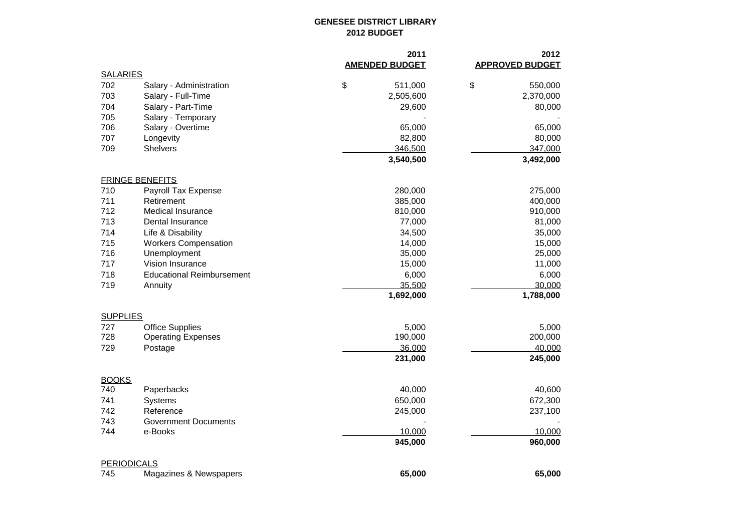## **GENESEE DISTRICT LIBRARY 2012 BUDGET**

|                    |                                  | 2011                  | 2012                   |
|--------------------|----------------------------------|-----------------------|------------------------|
| <b>SALARIES</b>    |                                  | <b>AMENDED BUDGET</b> | <b>APPROVED BUDGET</b> |
| 702                | Salary - Administration          | \$<br>511,000         | \$<br>550,000          |
| 703                | Salary - Full-Time               | 2,505,600             | 2,370,000              |
| 704                | Salary - Part-Time               | 29,600                | 80,000                 |
| 705                | Salary - Temporary               |                       |                        |
| 706                | Salary - Overtime                | 65,000                | 65,000                 |
| 707                | Longevity                        | 82,800                | 80,000                 |
| 709                | <b>Shelvers</b>                  | 346,500               | 347,000                |
|                    |                                  | 3,540,500             | 3,492,000              |
|                    | <b>FRINGE BENEFITS</b>           |                       |                        |
| 710                | Payroll Tax Expense              | 280,000               | 275,000                |
| 711                | Retirement                       | 385,000               | 400,000                |
| 712                | Medical Insurance                | 810,000               | 910,000                |
| 713                | Dental Insurance                 | 77,000                | 81,000                 |
| 714                | Life & Disability                | 34,500                | 35,000                 |
| 715                | <b>Workers Compensation</b>      | 14,000                | 15,000                 |
| 716                | Unemployment                     | 35,000                | 25,000                 |
| 717                | Vision Insurance                 | 15,000                | 11,000                 |
| 718                | <b>Educational Reimbursement</b> | 6,000                 | 6,000                  |
| 719                | Annuity                          | 35,500                | 30.000                 |
|                    |                                  | 1,692,000             | 1,788,000              |
| <b>SUPPLIES</b>    |                                  |                       |                        |
| 727                | <b>Office Supplies</b>           | 5,000                 | 5,000                  |
| 728                | <b>Operating Expenses</b>        | 190,000               | 200,000                |
| 729                | Postage                          | 36,000                | 40,000                 |
|                    |                                  | 231,000               | 245,000                |
| <b>BOOKS</b>       |                                  |                       |                        |
| 740                | Paperbacks                       | 40,000                | 40,600                 |
| 741                | Systems                          | 650,000               | 672,300                |
| 742                | Reference                        | 245,000               | 237,100                |
| 743                | <b>Government Documents</b>      |                       |                        |
| 744                | e-Books                          | 10,000<br>945,000     | 10,000<br>960,000      |
|                    |                                  |                       |                        |
| <b>PERIODICALS</b> |                                  |                       |                        |
| 745                | Magazines & Newspapers           | 65,000                | 65,000                 |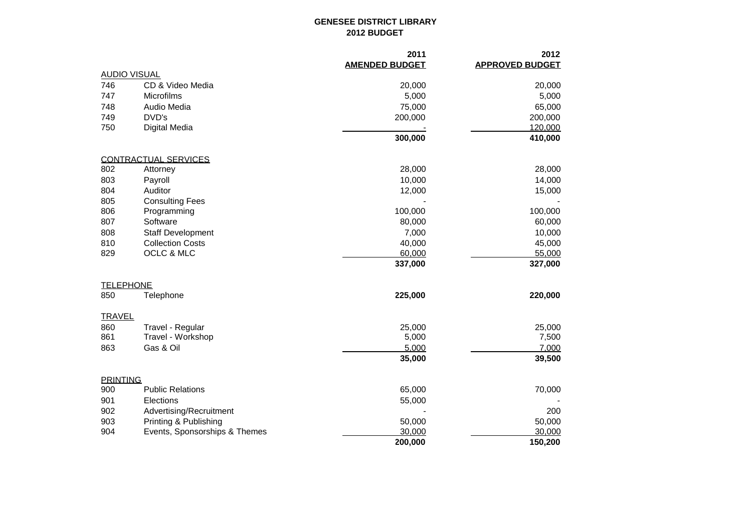## **GENESEE DISTRICT LIBRARY 2012 BUDGET**

|                     |                               | 2011                  | 2012                   |
|---------------------|-------------------------------|-----------------------|------------------------|
|                     |                               | <b>AMENDED BUDGET</b> | <b>APPROVED BUDGET</b> |
| <b>AUDIO VISUAL</b> |                               |                       |                        |
| 746                 | CD & Video Media              | 20,000                | 20,000                 |
| 747                 | Microfilms                    | 5,000                 | 5,000                  |
| 748                 | Audio Media                   | 75,000                | 65,000                 |
| 749                 | DVD's                         | 200,000               | 200,000                |
| 750                 | <b>Digital Media</b>          |                       | 120,000                |
|                     |                               | 300,000               | 410,000                |
|                     | <b>CONTRACTUAL SERVICES</b>   |                       |                        |
| 802                 | Attorney                      | 28,000                | 28,000                 |
| 803                 | Payroll                       | 10,000                | 14,000                 |
| 804                 | Auditor                       | 12,000                | 15,000                 |
| 805                 | <b>Consulting Fees</b>        |                       |                        |
| 806                 | Programming                   | 100,000               | 100,000                |
| 807                 | Software                      | 80,000                | 60,000                 |
| 808                 | <b>Staff Development</b>      | 7,000                 | 10,000                 |
| 810                 | <b>Collection Costs</b>       | 40,000                | 45,000                 |
| 829                 | OCLC & MLC                    | 60,000                | 55,000                 |
|                     |                               | 337,000               | 327,000                |
| <b>TELEPHONE</b>    |                               |                       |                        |
| 850                 | Telephone                     | 225,000               | 220,000                |
| <b>TRAVEL</b>       |                               |                       |                        |
| 860                 | Travel - Regular              | 25,000                | 25,000                 |
| 861                 | Travel - Workshop             | 5,000                 | 7,500                  |
| 863                 | Gas & Oil                     | 5,000                 | 7,000                  |
|                     |                               | 35,000                | 39,500                 |
| <b>PRINTING</b>     |                               |                       |                        |
| 900                 | <b>Public Relations</b>       | 65,000                | 70,000                 |
| 901                 | Elections                     | 55,000                |                        |
| 902                 | Advertising/Recruitment       |                       | 200                    |
| 903                 | Printing & Publishing         | 50,000                | 50,000                 |
| 904                 | Events, Sponsorships & Themes | 30,000                | 30,000                 |
|                     |                               | 200,000               | 150,200                |